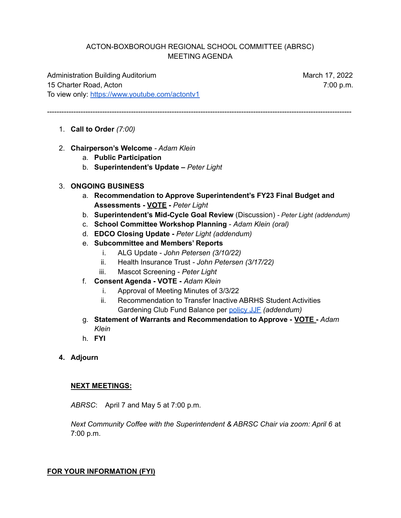## ACTON-BOXBOROUGH REGIONAL SCHOOL COMMITTEE (ABRSC) MEETING AGENDA

-------------------------------------------------------------------------------------------------------------------------------

Administration Building Auditorium March 17, 2022 15 Charter Road, Acton 7:00 p.m. To view only: <https://www.youtube.com/actontv1>

- 1. **Call to Order** *(7:00)*
- 2. **Chairperson's Welcome** *- Adam Klein*
	- a. **Public Participation**
	- b. **Superintendent's Update –** *Peter Light*

## 3. **ONGOING BUSINESS**

- a. **Recommendation to Approve Superintendent's FY23 Final Budget and Assessments - VOTE -** *Peter Light*
- b. **Superintendent's Mid-Cycle Goal Review** (Discussion) *- Peter Light (addendum)*
- c. **School Committee Workshop Planning** *Adam Klein (oral)*
- d. **EDCO Closing Update -** *Peter Light (addendum)*
- e. **Subcommittee and Members' Reports**
	- i. ALG Update *John Petersen (3/10/22)*
	- ii. Health Insurance Trust *- John Petersen (3/17/22)*
	- iii. Mascot Screening *Peter Light*
- f. **Consent Agenda - VOTE -** *Adam Klein*
	- i. Approval of Meeting Minutes of 3/3/22
	- ii. Recommendation to Transfer Inactive ABRHS Student Activities Gardening Club Fund Balance per [policy](https://z2policy.ctspublish.com/masc/browse/actonset/acton/JJF) JJF *(addendum)*
- g. **Statement of Warrants and Recommendation to Approve - VOTE -** *Adam Klein*
- h. **FYI**
- **4. Adjourn**

## **NEXT MEETINGS:**

*ABRSC*: April 7 and May 5 at 7:00 p.m.

*Next Community Coffee with the Superintendent & ABRSC Chair via zoom: April 6* at 7:00 p.m.

## **FOR YOUR INFORMATION (FYI)**